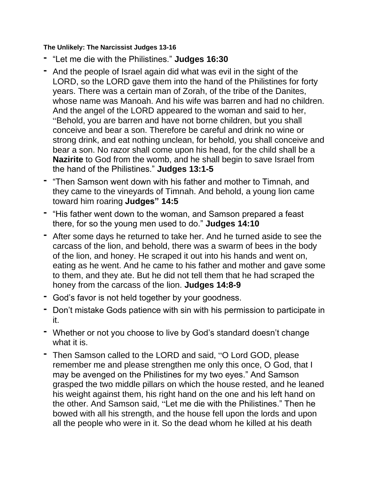## **The Unlikely: The Narcissist Judges 13-16**

- **-** "Let me die with the Philistines." **Judges 16:30**
- **-** And the people of Israel again did what was evil in the sight of the LORD, so the LORD gave them into the hand of the Philistines for forty years. There was a certain man of Zorah, of the tribe of the Danites, whose name was Manoah. And his wife was barren and had no children. And the angel of the LORD appeared to the woman and said to her, "Behold, you are barren and have not borne children, but you shall conceive and bear a son. Therefore be careful and drink no wine or strong drink, and eat nothing unclean, for behold, you shall conceive and bear a son. No razor shall come upon his head, for the child shall be a **Nazirite** to God from the womb, and he shall begin to save Israel from the hand of the Philistines." **Judges 13:1-5**
- **-** "Then Samson went down with his father and mother to Timnah, and they came to the vineyards of Timnah. And behold, a young lion came toward him roaring **Judges" 14:5**
- **-** "His father went down to the woman, and Samson prepared a feast there, for so the young men used to do." **Judges 14:10**
- **-** After some days he returned to take her. And he turned aside to see the carcass of the lion, and behold, there was a swarm of bees in the body of the lion, and honey. He scraped it out into his hands and went on, eating as he went. And he came to his father and mother and gave some to them, and they ate. But he did not tell them that he had scraped the honey from the carcass of the lion. **Judges 14:8-9**
- **-** God's favor is not held together by your goodness.
- **-** Don't mistake Gods patience with sin with his permission to participate in it.
- **-** Whether or not you choose to live by God's standard doesn't change what it is.
- **-** Then Samson called to the LORD and said, "O Lord GOD, please remember me and please strengthen me only this once, O God, that I may be avenged on the Philistines for my two eyes." And Samson grasped the two middle pillars on which the house rested, and he leaned his weight against them, his right hand on the one and his left hand on the other. And Samson said, "Let me die with the Philistines." Then he bowed with all his strength, and the house fell upon the lords and upon all the people who were in it. So the dead whom he killed at his death